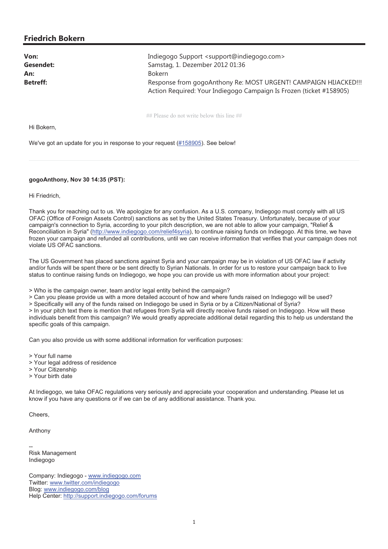## **Friedrich Bokern**

| Von:            | Indiegogo Support <support@indiegogo.com></support@indiegogo.com>                                                                      |
|-----------------|----------------------------------------------------------------------------------------------------------------------------------------|
| Gesendet:       | Samstag, 1. Dezember 2012 01:36                                                                                                        |
| An:             | <b>Bokern</b>                                                                                                                          |
| <b>Betreff:</b> | Response from gogoAnthony Re: MOST URGENT! CAMPAIGN HIJACKED!!!<br>Action Required: Your Indiegogo Campaign Is Frozen (ticket #158905) |
|                 |                                                                                                                                        |

## Please do not write below this line ##

Hi Bokern,

We've got an update for you in response to your request (#158905). See below!

### **gogoAnthony, Nov 30 14:35 (PST):**

Hi Friedrich,

Thank you for reaching out to us. We apologize for any confusion. As a U.S. company, Indiegogo must comply with all US OFAC (Office of Foreign Assets Control) sanctions as set by the United States Treasury. Unfortunately, because of your campaign's connection to Syria, according to your pitch description, we are not able to allow your campaign, "Relief & Reconciliation in Syria" (http://www.indiegogo.com/relief4syria), to continue raising funds on Indiegogo. At this time, we have frozen your campaign and refunded all contributions, until we can receive information that verifies that your campaign does not violate US OFAC sanctions.

The US Government has placed sanctions against Syria and your campaign may be in violation of US OFAC law if activity and/or funds will be spent there or be sent directly to Syrian Nationals. In order for us to restore your campaign back to live status to continue raising funds on Indiegogo, we hope you can provide us with more information about your project:

> Who is the campaign owner, team and/or legal entity behind the campaign?

> Can you please provide us with a more detailed account of how and where funds raised on Indiegogo will be used?

> Specifically will any of the funds raised on Indiegogo be used in Syria or by a Citizen/National of Syria?

> In your pitch text there is mention that refugees from Syria will directly receive funds raised on Indiegogo. How will these individuals benefit from this campaign? We would greatly appreciate additional detail regarding this to help us understand the specific goals of this campaign.

Can you also provide us with some additional information for verification purposes:

> Your full name

- > Your legal address of residence
- > Your Citizenship
- > Your birth date

At Indiegogo, we take OFAC regulations very seriously and appreciate your cooperation and understanding. Please let us know if you have any questions or if we can be of any additional assistance. Thank you.

Cheers,

Anthony

-- Risk Management Indiegogo

Company: Indiegogo - www.indiegogo.com Twitter: www.twitter.com/indiegogo Blog: www.indiegogo.com/blog Help Center: http://support.indiegogo.com/forums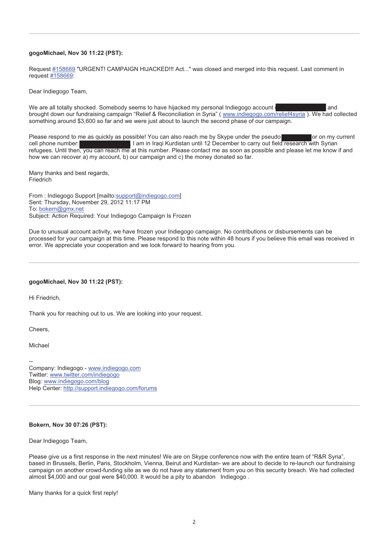#### **gogoMichael, Nov 30 11:22 (PST):**

Request #158669 "URGENT! CAMPAIGN HIJACKED!!! Act..." was closed and merged into this request. Last comment in request #158669:

Dear Indiegogo Team,

We are all totally shocked. Somebody seems to have hijacked my personal Indiegogo account ( ) and brought down our fundraising campaign "Relief & Reconciliation in Syria" ( www.indiegogo.com/relief4syria ). We had collected something around \$3,600 so far and we were just about to launch the second phase of our campaign.

Please respond to me as quickly as possible! You can also reach me by Skype under the pseudo or on my current cell phone number: +964 750 7973135. I am in Iraqi Kurdistan until 12 December to carry out field research with Syrian refugees. Until then, you can reach me at this number. Please contact me as soon as possible and please let me know if and how we can recover a) my account, b) our campaign and c) the money donated so far.

Many thanks and best regards, Friedrich

From : Indiegogo Support [mailto:support@indiegogo.com] Sent: Thursday, November 29, 2012 11:17 PM To: bokern@gmx.net Subject: Action Required: Your Indiegogo Campaign Is Frozen

Due to unusual account activity, we have frozen your Indiegogo campaign. No contributions or disbursements can be processed for your campaign at this time. Please respond to this note within 48 hours if you believe this email was received in error. We appreciate your cooperation and we look forward to hearing from you.

#### **gogoMichael, Nov 30 11:22 (PST):**

Hi Friedrich,

Thank you for reaching out to us. We are looking into your request.

Cheers,

Michael

-- Company: Indiegogo - www.indiegogo.com Twitter: www.twitter.com/indiegogo Blog: www.indiegogo.com/blog Help Center: http://support.indiegogo.com/forums

# **Bokern, Nov 30 07:26 (PST):**

Dear Indiegogo Team,

Please give us a first response in the next minutes! We are on Skype conference now with the entire team of "R&R Syria", based in Brussels, Berlin, Paris, Stockholm, Vienna, Beirut and Kurdistan- we are about to decide to re-launch our fundraising campaign on another crowd-funding site as we do not have any statement from you on this security breach. We had collected almost \$4,000 and our goal were \$40,000. It would be a pity to abandon Indiegogo .

Many thanks for a quick first reply!